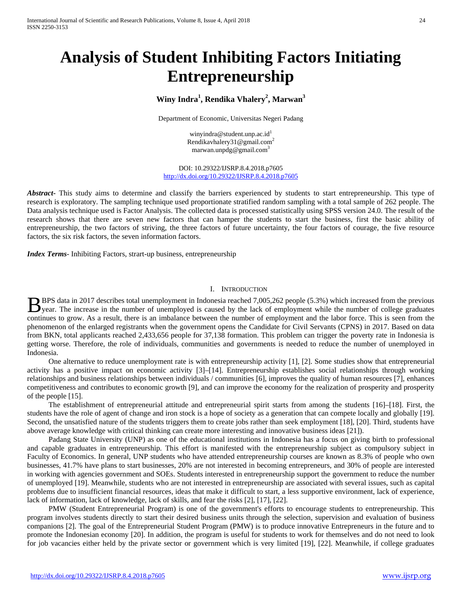# **Analysis of Student Inhibiting Factors Initiating Entrepreneurship**

## **Winy Indra<sup>1</sup> , Rendika Vhalery<sup>2</sup> , Marwan<sup>3</sup>**

Department of Economic, Universitas Negeri Padang

winyindra@student.unp.ac.id $^1$ Rendikavhalery31@gmail.com2 marwan.unpdg@gmail.com3

DOI: 10.29322/IJSRP.8.4.2018.p7605 <http://dx.doi.org/10.29322/IJSRP.8.4.2018.p7605>

Abstract<sub>ract</sub> This study aims to determine and classify the barriers experienced by students to start entrepreneurship. This type of research is exploratory. The sampling technique used proportionate stratified random sampling with a total sample of 262 people. The Data analysis technique used is Factor Analysis. The collected data is processed statistically using SPSS version 24.0. The result of the research shows that there are seven new factors that can hamper the students to start the business, first the basic ability of entrepreneurship, the two factors of striving, the three factors of future uncertainty, the four factors of courage, the five resource factors, the six risk factors, the seven information factors.

*Index Terms*- Inhibiting Factors, strart-up business, entrepreneurship

#### I. INTRODUCTION

BPS data in 2017 describes total unemployment in Indonesia reached 7,005,262 people (5.3%) which increased from the previous BPS data in 2017 describes total unemployment in Indonesia reached 7,005,262 people (5.3%) which increased from the previous year. The increase in the number of unemployed is caused by the lack of employment while the numb continues to grow. As a result, there is an imbalance between the number of employment and the labor force. This is seen from the phenomenon of the enlarged registrants when the government opens the Candidate for Civil Servants (CPNS) in 2017. Based on data from BKN, total applicants reached 2,433,656 people for 37,138 formation. This problem can trigger the poverty rate in Indonesia is getting worse. Therefore, the role of individuals, communities and governments is needed to reduce the number of unemployed in Indonesia.

One alternative to reduce unemployment rate is with entrepreneurship activity [1], [2]. Some studies show that entrepreneurial activity has a positive impact on economic activity [3]–[14]. Entrepreneurship establishes social relationships through working relationships and business relationships between individuals / communities [6], improves the quality of human resources [7], enhances competitiveness and contributes to economic growth [9], and can improve the economy for the realization of prosperity and prosperity of the people [15].

The establishment of entrepreneurial attitude and entrepreneurial spirit starts from among the students [16]–[18]. First, the students have the role of agent of change and iron stock is a hope of society as a generation that can compete locally and globally [19]. Second, the unsatisfied nature of the students triggers them to create jobs rather than seek employment [18], [20]. Third, students have above average knowledge with critical thinking can create more interesting and innovative business ideas [21]).

Padang State University (UNP) as one of the educational institutions in Indonesia has a focus on giving birth to professional and capable graduates in entrepreneurship. This effort is manifested with the entrepreneurship subject as compulsory subject in Faculty of Economics. In general, UNP students who have attended entrepreneurship courses are known as 8.3% of people who own businesses, 41.7% have plans to start businesses, 20% are not interested in becoming entrepreneurs, and 30% of people are interested in working with agencies government and SOEs. Students interested in entrepreneurship support the government to reduce the number of unemployed [19]. Meanwhile, students who are not interested in entrepreneurship are associated with several issues, such as capital problems due to insufficient financial resources, ideas that make it difficult to start, a less supportive environment, lack of experience, lack of information, lack of knowledge, lack of skills, and fear the risks [2], [17], [22].

PMW (Student Entrepreneurial Program) is one of the government's efforts to encourage students to entrepreneurship. This program involves students directly to start their desired business units through the selection, supervision and evaluation of business companions [2]. The goal of the Entrepreneurial Student Program (PMW) is to produce innovative Entrepreneurs in the future and to promote the Indonesian economy [20]. In addition, the program is useful for students to work for themselves and do not need to look for job vacancies either held by the private sector or government which is very limited [19], [22]. Meanwhile, if college graduates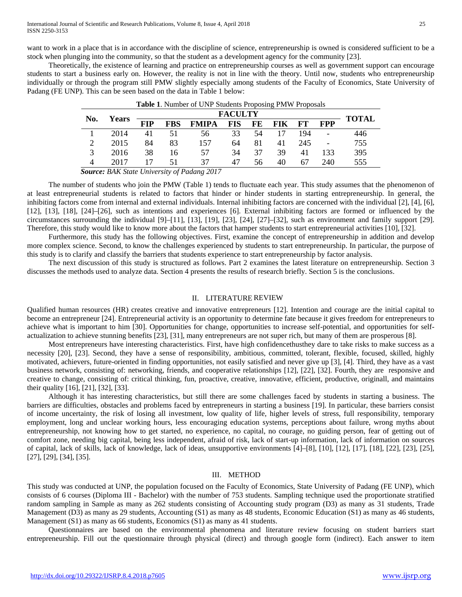want to work in a place that is in accordance with the discipline of science, entrepreneurship is owned is considered sufficient to be a stock when plunging into the community, so that the student as a development agency for the community [23].

Theoretically, the existence of learning and practice on entrepreneurship courses as well as government support can encourage students to start a business early on. However, the reality is not in line with the theory. Until now, students who entrepreneurship individually or through the program still PMW slightly especially among students of the Faculty of Economics, State University of Padang (FE UNP). This can be seen based on the data in Table 1 below:

| No. | <b>Years</b> | <b>FACULTY</b> |            |              |            |           |            |     |            |              |
|-----|--------------|----------------|------------|--------------|------------|-----------|------------|-----|------------|--------------|
|     |              | <b>FIP</b>     | <b>FBS</b> | <b>FMIPA</b> | <b>FIS</b> | <b>FE</b> | <b>FIK</b> | FT  | <b>FPP</b> | <b>TOTAL</b> |
|     | 2014         | 41             | 51         | 56           | 33         | 54        | 17         | 194 |            | 446          |
|     | 2015         | 84             | 83         | 157          | 64         | 81        | 41         | 245 |            | 755          |
|     | 2016         | 38             | 16         | 57           | 34         | 37        | 39         | 41  | 133        | 395          |
|     | 2017         |                | 51         | 37           | 47         | 56        | 40         | 67  | 240        | 555          |

| Table 1. Number of UNP Students Proposing PMW Proposals |
|---------------------------------------------------------|
|---------------------------------------------------------|

*Source: BAK State University of Padang 2017*

The number of students who join the PMW (Table 1) tends to fluctuate each year. This study assumes that the phenomenon of at least entrepreneurial students is related to factors that hinder or hinder students in starting entrepreneurship. In general, the inhibiting factors come from internal and external individuals. Internal inhibiting factors are concerned with the individual [2], [4], [6], [12], [13], [18], [24]–[26], such as intentions and experiences [6]. External inhibiting factors are formed or influenced by the circumstances surrounding the individual [9]–[11], [13], [19], [23], [24], [27]–[32], such as environment and family support [29]. Therefore, this study would like to know more about the factors that hamper students to start entrepreneurial activities [10], [32].

Furthermore, this study has the following objectives. First, examine the concept of entrepreneurship in addition and develop more complex science. Second, to know the challenges experienced by students to start entrepreneurship. In particular, the purpose of this study is to clarify and classify the barriers that students experience to start entrepreneurship by factor analysis.

The next discussion of this study is structured as follows. Part 2 examines the latest literature on entrepreneurship. Section 3 discusses the methods used to analyze data. Section 4 presents the results of research briefly. Section 5 is the conclusions.

#### II. LITERATURE REVIEW

Qualified human resources (HR) creates creative and innovative entrepreneurs [12]. Intention and courage are the initial capital to become an entrepreneur [24]. Entrepreneurial activity is an opportunity to determine fate because it gives freedom for entrepreneurs to achieve what is important to him [30]. Opportunities for change, opportunities to increase self-potential, and opportunities for selfactualization to achieve stunning benefits [23], [31], many entrepreneurs are not super rich, but many of them are prosperous [8].

Most entrepreneurs have interesting characteristics. First, have high confidencethusthey dare to take risks to make success as a necessity [20], [23]. Second, they have a sense of responsibility, ambitious, committed, tolerant, flexible, focused, skilled, highly motivated, achievers, future-oriented in finding opportunities, not easily satisfied and never give up [3], [4]. Third, they have as a vast business network, consisting of: networking, friends, and cooperative relationships [12], [22], [32]. Fourth, they are responsive and creative to change, consisting of: critical thinking, fun, proactive, creative, innovative, efficient, productive, originall, and maintains their quality [16], [21], [32], [33].

Although it has interesting characteristics, but still there are some challenges faced by students in starting a business. The barriers are difficulties, obstacles and problems faced by entrepreneurs in starting a business [19]. In particular, these barriers consist of income uncertainty, the risk of losing all investment, low quality of life, higher levels of stress, full responsibility, temporary employment, long and unclear working hours, less encouraging education systems, perceptions about failure, wrong myths about entrepreneurship, not knowing how to get started, no experience, no capital, no courage, no guiding person, fear of getting out of comfort zone, needing big capital, being less independent, afraid of risk, lack of start-up information, lack of information on sources of capital, lack of skills, lack of knowledge, lack of ideas, unsupportive environments [4]–[8], [10], [12], [17], [18], [22], [23], [25], [27], [29], [34], [35].

## III. METHOD

This study was conducted at UNP, the population focused on the Faculty of Economics, State University of Padang (FE UNP), which consists of 6 courses (Diploma III - Bachelor) with the number of 753 students. Sampling technique used the proportionate stratified random sampling in Sample as many as 262 students consisting of Accounting study program (D3) as many as 31 students, Trade Management (D3) as many as 29 students, Accounting (S1) as many as 48 students, Economic Education (S1) as many as 46 students, Management (S1) as many as 66 students, Economics (S1) as many as 41 students.

Questionnaires are based on the environmental phenomena and literature review focusing on student barriers start entrepreneurship. Fill out the questionnaire through physical (direct) and through google form (indirect). Each answer to item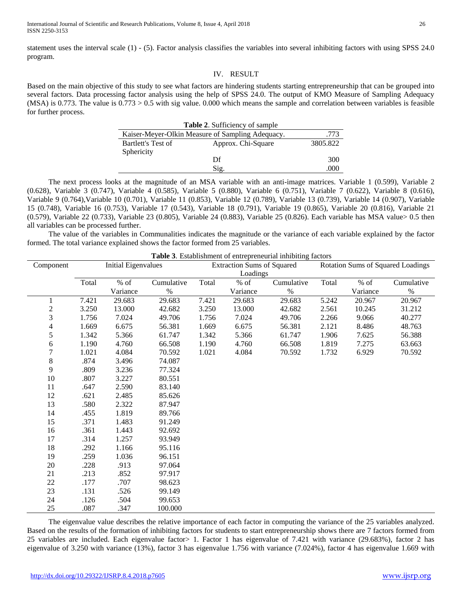statement uses the interval scale (1) - (5). Factor analysis classifies the variables into several inhibiting factors with using SPSS 24.0 program.

## IV. RESULT

Based on the main objective of this study to see what factors are hindering students starting entrepreneurship that can be grouped into several factors. Data processing factor analysis using the help of SPSS 24.0. The output of KMO Measure of Sampling Adequacy (MSA) is 0.773. The value is 0.773 > 0.5 with sig value. 0.000 which means the sample and correlation between variables is feasible for further process.

| Table 2. Sufficiency of sample                   |                    |          |  |  |  |  |
|--------------------------------------------------|--------------------|----------|--|--|--|--|
| Kaiser-Meyer-Olkin Measure of Sampling Adequacy. | .773               |          |  |  |  |  |
| Bartlett's Test of                               | Approx. Chi-Square | 3805.822 |  |  |  |  |
| Sphericity                                       |                    |          |  |  |  |  |
|                                                  | Df                 | 300      |  |  |  |  |
|                                                  | Sig.               | .000     |  |  |  |  |

The next process looks at the magnitude of an MSA variable with an anti-image matrices. Variable 1 (0.599), Variable 2 (0.628), Variable 3 (0.747), Variable 4 (0.585), Variable 5 (0.880), Variable 6 (0.751), Variable 7 (0.622), Variable 8 (0.616), Variable 9 (0.764),Variable 10 (0.701), Variable 11 (0.853), Variable 12 (0.789), Variable 13 (0.739), Variable 14 (0.907), Variable 15 (0.748), Variable 16 (0.753), Variable 17 (0.543), Variable 18 (0.791), Variable 19 (0.865), Variable 20 (0.816), Variable 21 (0.579), Variable 22 (0.733), Variable 23 (0.805), Variable 24 (0.883), Variable 25 (0.826). Each variable has MSA value> 0.5 then all variables can be processed further.

The value of the variables in Communalities indicates the magnitude or the variance of each variable explained by the factor formed. The total variance explained shows the factor formed from 25 variables.

| <b>Table 3.</b> Establishment of entrepreneurial inhibiting factors |                            |          |            |                                   |          |            |                                   |          |            |
|---------------------------------------------------------------------|----------------------------|----------|------------|-----------------------------------|----------|------------|-----------------------------------|----------|------------|
| Component                                                           | <b>Initial Eigenvalues</b> |          |            | <b>Extraction Sums of Squared</b> |          |            | Rotation Sums of Squared Loadings |          |            |
|                                                                     |                            |          |            | Loadings                          |          |            |                                   |          |            |
|                                                                     | Total                      | $%$ of   | Cumulative | Total                             | $\%$ of  | Cumulative | Total                             | $%$ of   | Cumulative |
|                                                                     |                            | Variance | $\%$       |                                   | Variance | $\%$       |                                   | Variance | $\%$       |
| 1                                                                   | 7.421                      | 29.683   | 29.683     | 7.421                             | 29.683   | 29.683     | 5.242                             | 20.967   | 20.967     |
| $\frac{2}{3}$                                                       | 3.250                      | 13.000   | 42.682     | 3.250                             | 13.000   | 42.682     | 2.561                             | 10.245   | 31.212     |
|                                                                     | 1.756                      | 7.024    | 49.706     | 1.756                             | 7.024    | 49.706     | 2.266                             | 9.066    | 40.277     |
| $\overline{4}$                                                      | 1.669                      | 6.675    | 56.381     | 1.669                             | 6.675    | 56.381     | 2.121                             | 8.486    | 48.763     |
| 5                                                                   | 1.342                      | 5.366    | 61.747     | 1.342                             | 5.366    | 61.747     | 1.906                             | 7.625    | 56.388     |
| 6                                                                   | 1.190                      | 4.760    | 66.508     | 1.190                             | 4.760    | 66.508     | 1.819                             | 7.275    | 63.663     |
| $\overline{7}$                                                      | 1.021                      | 4.084    | 70.592     | 1.021                             | 4.084    | 70.592     | 1.732                             | 6.929    | 70.592     |
| $\,8\,$                                                             | .874                       | 3.496    | 74.087     |                                   |          |            |                                   |          |            |
| 9                                                                   | .809                       | 3.236    | 77.324     |                                   |          |            |                                   |          |            |
| 10                                                                  | .807                       | 3.227    | 80.551     |                                   |          |            |                                   |          |            |
| 11                                                                  | .647                       | 2.590    | 83.140     |                                   |          |            |                                   |          |            |
| 12                                                                  | .621                       | 2.485    | 85.626     |                                   |          |            |                                   |          |            |
| 13                                                                  | .580                       | 2.322    | 87.947     |                                   |          |            |                                   |          |            |
| 14                                                                  | .455                       | 1.819    | 89.766     |                                   |          |            |                                   |          |            |
| 15                                                                  | .371                       | 1.483    | 91.249     |                                   |          |            |                                   |          |            |
| 16                                                                  | .361                       | 1.443    | 92.692     |                                   |          |            |                                   |          |            |
| 17                                                                  | .314                       | 1.257    | 93.949     |                                   |          |            |                                   |          |            |
| 18                                                                  | .292                       | 1.166    | 95.116     |                                   |          |            |                                   |          |            |
| 19                                                                  | .259                       | 1.036    | 96.151     |                                   |          |            |                                   |          |            |
| $20\,$                                                              | .228                       | .913     | 97.064     |                                   |          |            |                                   |          |            |
| 21                                                                  | .213                       | .852     | 97.917     |                                   |          |            |                                   |          |            |
| 22                                                                  | .177                       | .707     | 98.623     |                                   |          |            |                                   |          |            |
| 23                                                                  | .131                       | .526     | 99.149     |                                   |          |            |                                   |          |            |
| 24                                                                  | .126                       | .504     | 99.653     |                                   |          |            |                                   |          |            |
| 25                                                                  | .087                       | .347     | 100.000    |                                   |          |            |                                   |          |            |

The eigenvalue value describes the relative importance of each factor in computing the variance of the 25 variables analyzed. Based on the results of the formation of inhibiting factors for students to start entrepreneurship shows there are 7 factors formed from 25 variables are included. Each eigenvalue factor> 1. Factor 1 has eigenvalue of 7.421 with variance (29.683%), factor 2 has eigenvalue of 3.250 with variance (13%), factor 3 has eigenvalue 1.756 with variance (7.024%), factor 4 has eigenvalue 1.669 with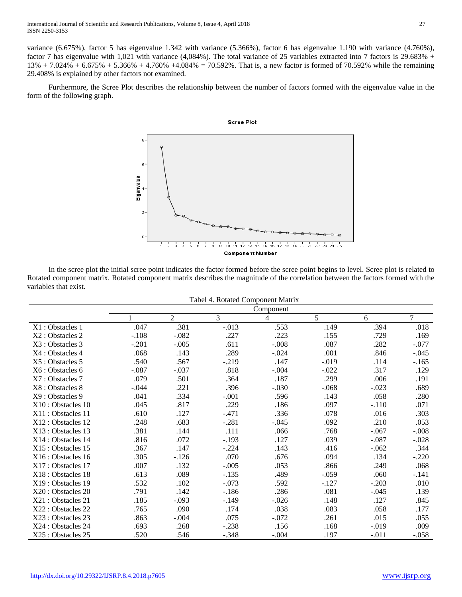variance (6.675%), factor 5 has eigenvalue 1.342 with variance (5.366%), factor 6 has eigenvalue 1.190 with variance (4.760%), factor 7 has eigenvalue with 1,021 with variance (4,084%). The total variance of 25 variables extracted into 7 factors is 29.683% +  $13\% + 7.024\% + 6.675\% + 5.366\% + 4.760\% + 4.084\% = 70.592\%$ . That is, a new factor is formed of 70.592% while the remaining 29.408% is explained by other factors not examined.

Furthermore, the Scree Plot describes the relationship between the number of factors formed with the eigenvalue value in the form of the following graph.



In the scree plot the initial scree point indicates the factor formed before the scree point begins to level. Scree plot is related to Rotated component matrix. Rotated component matrix describes the magnitude of the correlation between the factors formed with the variables that exist.

|                    | Tabel 4. Rotated Component Matrix |                |          |         |         |         |                |  |  |  |  |
|--------------------|-----------------------------------|----------------|----------|---------|---------|---------|----------------|--|--|--|--|
|                    | Component                         |                |          |         |         |         |                |  |  |  |  |
|                    | 1                                 | $\overline{2}$ | 3        | 4       | 5       | 6       | $\overline{7}$ |  |  |  |  |
| X1:Obstackes 1     | .047                              | .381           | $-0.013$ | .553    | .149    | .394    | .018           |  |  |  |  |
| X2 : Obstacles 2   | $-.108$                           | $-.082$        | .227     | .223    | .155    | .729    | .169           |  |  |  |  |
| X3 : Obstacles 3   | $-.201$                           | $-.005$        | .611     | $-.008$ | .087    | .282    | $-.077$        |  |  |  |  |
| X4 : Obstacles 4   | .068                              | .143           | .289     | $-.024$ | .001    | .846    | $-.045$        |  |  |  |  |
| X5 : Obstacles 5   | .540                              | .567           | $-.219$  | .147    | $-.019$ | .114    | $-.165$        |  |  |  |  |
| X6 : Obstacles 6   | $-.087$                           | $-.037$        | .818     | $-.004$ | $-.022$ | .317    | .129           |  |  |  |  |
| X7: Obstacles 7    | .079                              | .501           | .364     | .187    | .299    | .006    | .191           |  |  |  |  |
| X8 : Obstacles 8   | $-.044$                           | .221           | .396     | $-.030$ | $-.068$ | $-.023$ | .689           |  |  |  |  |
| X9: Obstacles 9    | .041                              | .334           | $-.001$  | .596    | .143    | .058    | .280           |  |  |  |  |
| X10:Obstackes 10   | .045                              | .817           | .229     | .186    | .097    | $-.110$ | .071           |  |  |  |  |
| X11:Obstackes 11   | .610                              | .127           | $-.471$  | .336    | .078    | .016    | .303           |  |  |  |  |
| X12:Obstackes 12   | .248                              | .683           | $-.281$  | $-.045$ | .092    | .210    | .053           |  |  |  |  |
| X13:Obstackes 13   | .381                              | .144           | .111     | .066    | .768    | $-.067$ | $-.008$        |  |  |  |  |
| X14:Obstackes 14   | .816                              | .072           | $-.193$  | .127    | .039    | $-.087$ | $-.028$        |  |  |  |  |
| X15:Obstackes 15   | .367                              | .147           | $-.224$  | .143    | .416    | $-.062$ | .344           |  |  |  |  |
| X16 : Obstacles 16 | .305                              | $-.126$        | .070     | .676    | .094    | .134    | $-.220$        |  |  |  |  |
| X17: Obstacles 17  | .007                              | .132           | $-.005$  | .053    | .866    | .249    | .068           |  |  |  |  |
| X18 : Obstacles 18 | .613                              | .089           | $-.135$  | .489    | $-.059$ | .060    | $-.141$        |  |  |  |  |
| X19:Obstackes 19   | .532                              | .102           | $-.073$  | .592    | $-.127$ | $-.203$ | .010           |  |  |  |  |
| X20: Obstacles 20  | .791                              | .142           | $-.186$  | .286    | .081    | $-.045$ | .139           |  |  |  |  |
| X21 : Obstacles 21 | .185                              | $-.093$        | $-.149$  | $-.026$ | .148    | .127    | .845           |  |  |  |  |
| X22 : Obstacles 22 | .765                              | .090           | .174     | .038    | .083    | .058    | .177           |  |  |  |  |
| X23 : Obstacles 23 | .863                              | $-.004$        | .075     | $-.072$ | .261    | .015    | .055           |  |  |  |  |
| X24 : Obstacles 24 | .693                              | .268           | $-.238$  | .156    | .168    | $-.019$ | .009           |  |  |  |  |
| X25 : Obstacles 25 | .520                              | .546           | $-.348$  | $-.004$ | .197    | $-.011$ | $-.058$        |  |  |  |  |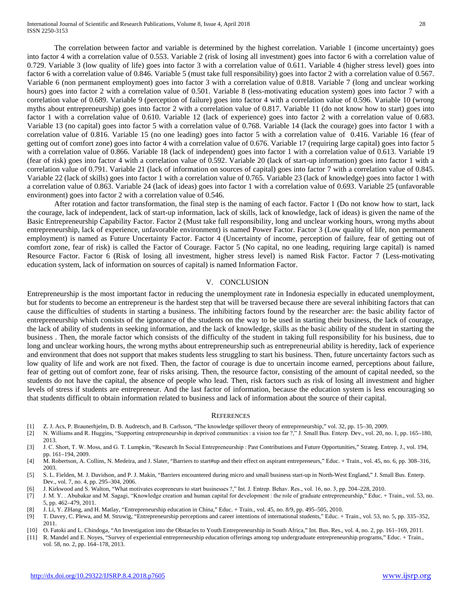International Journal of Scientific and Research Publications, Volume 8, Issue 4, April 2018 28 ISSN 2250-3153

The correlation between factor and variable is determined by the highest correlation. Variable 1 (income uncertainty) goes into factor 4 with a correlation value of 0.553. Variable 2 (risk of losing all investment) goes into factor 6 with a correlation value of 0.729. Variable 3 (low quality of life) goes into factor 3 with a correlation value of 0.611. Variable 4 (higher stress level) goes into factor 6 with a correlation value of 0.846. Variable 5 (must take full responsibility) goes into factor 2 with a correlation value of 0.567. Variable 6 (non permanent employment) goes into factor 3 with a correlation value of 0.818. Variable 7 (long and unclear working hours) goes into factor 2 with a correlation value of 0.501. Variable 8 (less-motivating education system) goes into factor 7 with a correlation value of 0.689. Variable 9 (perception of failure) goes into factor 4 with a correlation value of 0.596. Variable 10 (wrong myths about entrepreneurship) goes into factor 2 with a correlation value of 0.817. Variable 11 (do not know how to start) goes into factor 1 with a correlation value of 0.610. Variable 12 (lack of experience) goes into factor 2 with a correlation value of 0.683. Variable 13 (no capital) goes into factor 5 with a correlation value of 0.768. Variable 14 (lack the courage) goes into factor 1 with a correlation value of 0.816. Variable 15 (no one leading) goes into factor 5 with a correlation value of 0.416. Variable 16 (fear of getting out of comfort zone) goes into factor 4 with a correlation value of 0.676. Variable 17 (requiring large capital) goes into factor 5 with a correlation value of 0.866. Variable 18 (lack of independent) goes into factor 1 with a correlation value of 0.613. Variable 19 (fear of risk) goes into factor 4 with a correlation value of 0.592. Variable 20 (lack of start-up information) goes into factor 1 with a correlation value of 0.791. Variable 21 (lack of information on sources of capital) goes into factor 7 with a correlation value of 0.845. Variable 22 (lack of skills) goes into factor 1 with a correlation value of 0.765. Variable 23 (lack of knowledge) goes into factor 1 with

a correlation value of 0.863. Variable 24 (lack of ideas) goes into factor 1 with a correlation value of 0.693. Variable 25 (unfavorable environment) goes into factor 2 with a correlation value of 0.546.

After rotation and factor transformation, the final step is the naming of each factor. Factor 1 (Do not know how to start, lack the courage, lack of independent, lack of start-up information, lack of skills, lack of knowledge, lack of ideas) is given the name of the Basic Entrepreneurship Capability Factor. Factor 2 (Must take full responsibility, long and unclear working hours, wrong myths about entrepreneurship, lack of experience, unfavorable environment) is named Power Factor. Factor 3 (Low quality of life, non permanent employment) is named as Future Uncertainty Factor. Factor 4 (Uncertainty of income, perception of failure, fear of getting out of comfort zone, fear of risk) is called the Factor of Courage. Factor 5 (No capital, no one leading, requiring large capital) is named Resource Factor. Factor 6 (Risk of losing all investment, higher stress level) is named Risk Factor. Factor 7 (Less-motivating education system, lack of information on sources of capital) is named Information Factor.

#### V. CONCLUSION

Entrepreneurship is the most important factor in reducing the unemployment rate in Indonesia especially in educated unemployment, but for students to become an entrepreneur is the hardest step that will be traversed because there are several inhibiting factors that can cause the difficulties of students in starting a business. The inhibiting factors found by the researcher are: the basic ability factor of entrepreneurship which consists of the ignorance of the students on the way to be used in starting their business, the lack of courage, the lack of ability of students in seeking information, and the lack of knowledge, skills as the basic ability of the student in starting the business . Then, the morale factor which consists of the difficulty of the student in taking full responsibility for his business, due to long and unclear working hours, the wrong myths about entrepreneurship such as entrepreneurial ability is heredity, lack of experience and environment that does not support that makes students less struggling to start his business. Then, future uncertainty factors such as low quality of life and work are not fixed. Then, the factor of courage is due to uncertain income earned, perceptions about failure, fear of getting out of comfort zone, fear of risks arising. Then, the resource factor, consisting of the amount of capital needed, so the students do not have the capital, the absence of people who lead. Then, risk factors such as risk of losing all investment and higher levels of stress if students are entrepreneur. And the last factor of information, because the education system is less encouraging so that students difficult to obtain information related to business and lack of information about the source of their capital.

#### **REFERENCES**

- [1] Z. J. Acs, P. Braunerhjelm, D. B. Audretsch, and B. Carlsson, "The knowledge spillover theory of entrepreneurship," vol. 32, pp. 15–30, 2009.
- [2] N. Williams and R. Huggins, "Supporting entrepreneurship in deprived communities : a vision too far ?," J. Small Bus. Enterp. Dev., vol. 20, no. 1, pp. 165–180, 2013.
- [3] J. C. Short, T. W. Moss, and G. T. Lumpkin, "Research In Social Entrepreneurship : Past Contributions and Future Opportunities," Strateg. Entrep. J., vol. 194, pp. 161–194, 2009.
- [4] M. Robertson, A. Collins, N. Medeira, and J. Slater, "Barriers to start#up and their effect on aspirant entrepreneurs," Educ. + Train., vol. 45, no. 6, pp. 308–316, 2003.
- [5] S. L. Fielden, M. J. Davidson, and P. J. Makin, "Barriers encountered during micro and small business start-up in North-West England," J. Small Bus. Enterp. Dev., vol. 7, no. 4, pp. 295–304, 2006.
- [6] J. Kirkwood and S. Walton, "What motivates ecopreneurs to start businesses ?," Int. J. Entrep. Behav. Res., vol. 16, no. 3, pp. 204–228, 2010.
- [7] J. M. Y. . Abubakar and M. Sagagi, "Knowledge creation and human capital for development : the role of graduate entrepreneurship," Educ. + Train., vol. 53, no. 5, pp. 462–479, 2011.
- [8] J. Li, Y. ZHang, and H. Matlay, "Entrepreneurship education in China," Educ. + Train., vol. 45, no. 8/9, pp. 495–505, 2010.
- [9] T. Davey, C. Plewa, and M. Struwig, "Entrepreneurship perceptions and career intentions of international students," Educ. + Train., vol. 53, no. 5, pp. 335–352, 2011.
- [10] O. Fatoki and L. Chindoga, "An Investigation into the Obstacles to Youth Entrepreneurship in South Africa," Int. Bus. Res., vol. 4, no. 2, pp. 161–169, 2011.
- [11] R. Mandel and E. Noyes, "Survey of experiential entrepreneurship education offerings among top undergraduate entrepreneurship programs," Educ. + Train., vol. 58, no. 2, pp. 164–178, 2013.